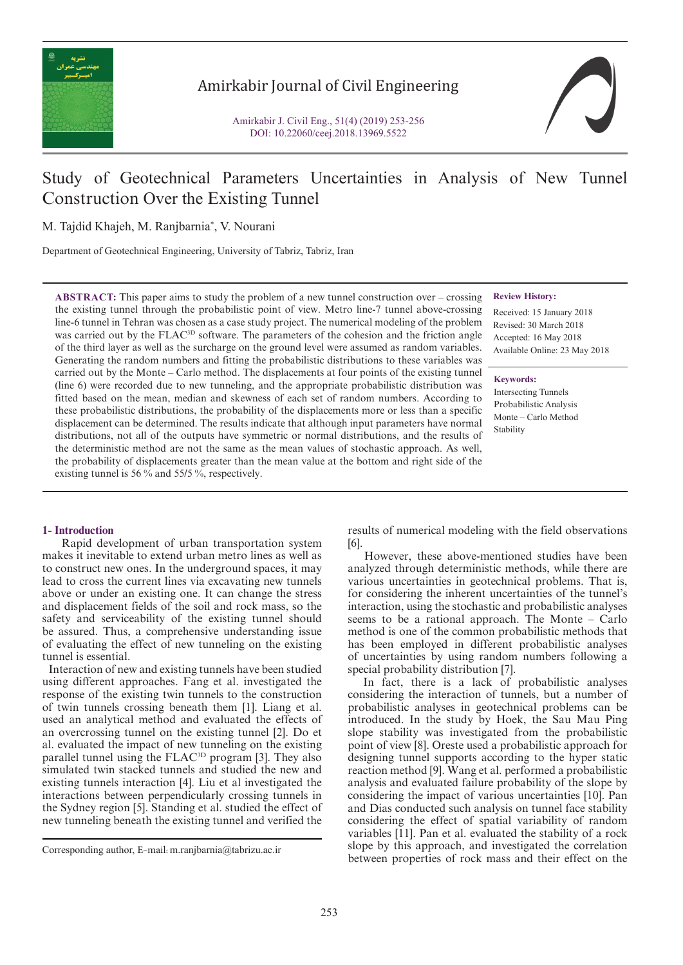

## Amirkabir Journal of Civil Engineering

# Study of Geotechnical Parameters Uncertainties in Analysis of New Tunnel Construction Over the Existing Tunnel

M. Tajdid Khajeh, M. Ranjbarnia\* , V. Nourani

Department of Geotechnical Engineering, University of Tabriz, Tabriz, Iran

**ABSTRACT:** This paper aims to study the problem of a new tunnel construction over – crossing the existing tunnel through the probabilistic point of view. Metro line-7 tunnel above-crossing line-6 tunnel in Tehran was chosen as a case study project. The numerical modeling of the problem was carried out by the FLAC<sup>3D</sup> software. The parameters of the cohesion and the friction angle of the third layer as well as the surcharge on the ground level were assumed as random variables. Generating the random numbers and fitting the probabilistic distributions to these variables was carried out by the Monte – Carlo method. The displacements at four points of the existing tunnel (line 6) were recorded due to new tunneling, and the appropriate probabilistic distribution was fitted based on the mean, median and skewness of each set of random numbers. According to these probabilistic distributions, the probability of the displacements more or less than a specific displacement can be determined. The results indicate that although input parameters have normal distributions, not all of the outputs have symmetric or normal distributions, and the results of the deterministic method are not the same as the mean values of stochastic approach. As well, the probability of displacements greater than the mean value at the bottom and right side of the existing tunnel is 56 % and 55/5 %, respectively.

### **1- Introduction**

 Rapid development of urban transportation system makes it inevitable to extend urban metro lines as well as to construct new ones. In the underground spaces, it may lead to cross the current lines via excavating new tunnels above or under an existing one. It can change the stress and displacement fields of the soil and rock mass, so the safety and serviceability of the existing tunnel should be assured. Thus, a comprehensive understanding issue of evaluating the effect of new tunneling on the existing tunnel is essential.

 Interaction of new and existing tunnels have been studied using different approaches. Fang et al. investigated the response of the existing twin tunnels to the construction of twin tunnels crossing beneath them [1]. Liang et al. used an analytical method and evaluated the effects of an overcrossing tunnel on the existing tunnel [2]. Do et al. evaluated the impact of new tunneling on the existing parallel tunnel using the FLAC<sup>3D</sup> program [3]. They also simulated twin stacked tunnels and studied the new and existing tunnels interaction [4]. Liu et al investigated the interactions between perpendicularly crossing tunnels in the Sydney region [5]. Standing et al. studied the effect of new tunneling beneath the existing tunnel and verified the **Review History:**

Received: 15 January 2018 Revised: 30 March 2018 Accepted: 16 May 2018 Available Online: 23 May 2018

**Keywords:**

Intersecting Tunnels Probabilistic Analysis Monte – Carlo Method Stability

results of numerical modeling with the field observations [6].

 However, these above-mentioned studies have been analyzed through deterministic methods, while there are various uncertainties in geotechnical problems. That is, for considering the inherent uncertainties of the tunnel's interaction, using the stochastic and probabilistic analyses seems to be a rational approach. The Monte – Carlo method is one of the common probabilistic methods that has been employed in different probabilistic analyses of uncertainties by using random numbers following a special probability distribution [7].

 In fact, there is a lack of probabilistic analyses considering the interaction of tunnels, but a number of probabilistic analyses in geotechnical problems can be introduced. In the study by Hoek, the Sau Mau Ping slope stability was investigated from the probabilistic point of view [8]. Oreste used a probabilistic approach for designing tunnel supports according to the hyper static reaction method [9]. Wang et al. performed a probabilistic analysis and evaluated failure probability of the slope by considering the impact of various uncertainties [10]. Pan and Dias conducted such analysis on tunnel face stability considering the effect of spatial variability of random variables [11]. Pan et al. evaluated the stability of a rock slope by this approach, and investigated the correlation Corresponding author, E-mail: m.ranjbarnia@tabrizu.ac.ir<br>between properties of rock mass and their effect on the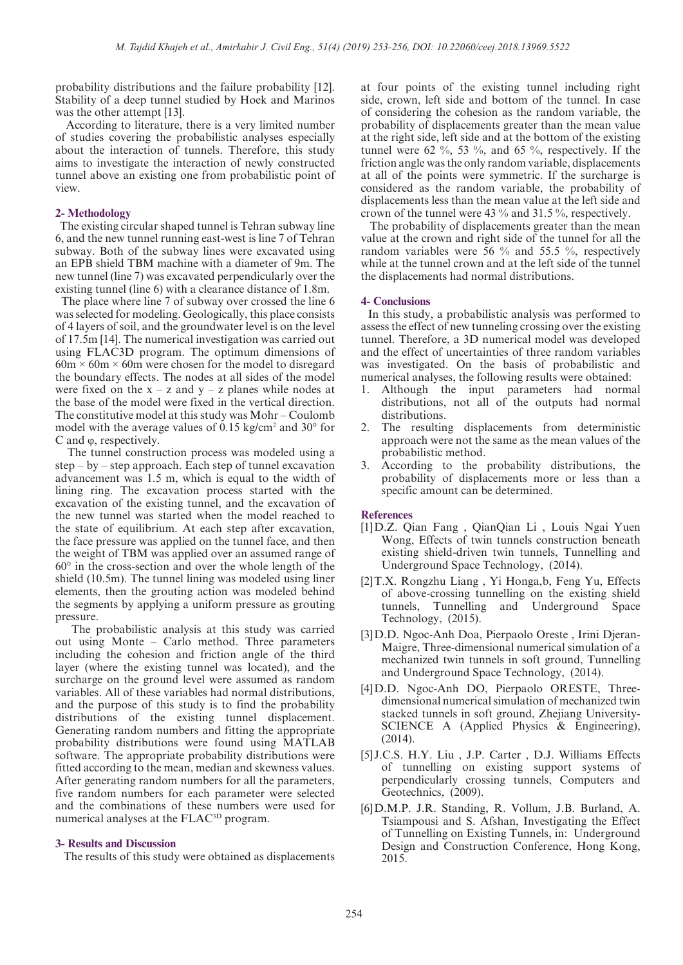probability distributions and the failure probability [12]. Stability of a deep tunnel studied by Hoek and Marinos was the other attempt [13].

 According to literature, there is a very limited number of studies covering the probabilistic analyses especially about the interaction of tunnels. Therefore, this study aims to investigate the interaction of newly constructed tunnel above an existing one from probabilistic point of view.

#### **2- Methodology**

 The existing circular shaped tunnel is Tehran subway line 6, and the new tunnel running east-west is line 7 of Tehran subway. Both of the subway lines were excavated using an EPB shield TBM machine with a diameter of 9m. The new tunnel (line 7) was excavated perpendicularly over the existing tunnel (line 6) with a clearance distance of 1.8m.

 The place where line 7 of subway over crossed the line 6 was selected for modeling. Geologically, this place consists of 4 layers of soil, and the groundwater level is on the level of 17.5m [14]. The numerical investigation was carried out using FLAC3D program. The optimum dimensions of  $60m \times 60m \times 60m$  were chosen for the model to disregard the boundary effects. The nodes at all sides of the model were fixed on the  $x - z$  and  $y - z$  planes while nodes at the base of the model were fixed in the vertical direction. The constitutive model at this study was Mohr – Coulomb model with the average values of 0.15 kg/cm<sup>2</sup> and 30° for C and φ, respectively.

 The tunnel construction process was modeled using a step – by – step approach. Each step of tunnel excavation advancement was 1.5 m, which is equal to the width of lining ring. The excavation process started with the excavation of the existing tunnel, and the excavation of the new tunnel was started when the model reached to the state of equilibrium. At each step after excavation, the face pressure was applied on the tunnel face, and then the weight of TBM was applied over an assumed range of 60° in the cross-section and over the whole length of the shield (10.5m). The tunnel lining was modeled using liner elements, then the grouting action was modeled behind the segments by applying a uniform pressure as grouting pressure.

 The probabilistic analysis at this study was carried out using Monte – Carlo method. Three parameters including the cohesion and friction angle of the third layer (where the existing tunnel was located), and the surcharge on the ground level were assumed as random variables. All of these variables had normal distributions, and the purpose of this study is to find the probability distributions of the existing tunnel displacement. Generating random numbers and fitting the appropriate probability distributions were found using MATLAB software. The appropriate probability distributions were fitted according to the mean, median and skewness values. After generating random numbers for all the parameters, five random numbers for each parameter were selected and the combinations of these numbers were used for numerical analyses at the FLAC<sup>3D</sup> program.

#### **3- Results and Discussion**

The results of this study were obtained as displacements

at four points of the existing tunnel including right side, crown, left side and bottom of the tunnel. In case of considering the cohesion as the random variable, the probability of displacements greater than the mean value at the right side, left side and at the bottom of the existing tunnel were 62 %, 53 %, and 65 %, respectively. If the friction angle was the only random variable, displacements at all of the points were symmetric. If the surcharge is considered as the random variable, the probability of displacements less than the mean value at the left side and crown of the tunnel were 43 % and 31.5 %, respectively.

 The probability of displacements greater than the mean value at the crown and right side of the tunnel for all the random variables were 56 % and 55.5 %, respectively while at the tunnel crown and at the left side of the tunnel the displacements had normal distributions.

#### **4- Conclusions**

 In this study, a probabilistic analysis was performed to assess the effect of new tunneling crossing over the existing tunnel. Therefore, a 3D numerical model was developed and the effect of uncertainties of three random variables was investigated. On the basis of probabilistic and numerical analyses, the following results were obtained:

- 1. Although the input parameters had normal distributions, not all of the outputs had normal distributions.
- The resulting displacements from deterministic approach were not the same as the mean values of the probabilistic method.
- 3. According to the probability distributions, the probability of displacements more or less than a specific amount can be determined.

#### **References**

- [1]D.Z. Qian Fang , QianQian Li , Louis Ngai Yuen Wong, Effects of twin tunnels construction beneath existing shield-driven twin tunnels, Tunnelling and Underground Space Technology, (2014).
- [2]T.X. Rongzhu Liang , Yi Honga,b, Feng Yu, Effects of above-crossing tunnelling on the existing shield tunnels, Tunnelling and Underground Space Technology, (2015).
- [3]D.D. Ngoc-Anh Doa, Pierpaolo Oreste , Irini Djeran-Maigre, Three-dimensional numerical simulation of a mechanized twin tunnels in soft ground, Tunnelling and Underground Space Technology, (2014).
- [4]D.D. Ngoc-Anh DO, Pierpaolo ORESTE, Threedimensional numerical simulation of mechanized twin stacked tunnels in soft ground, Zhejiang University-SCIENCE A (Applied Physics & Engineering), (2014).
- [5] J.C.S. H.Y. Liu , J.P. Carter , D.J. Williams Effects of tunnelling on existing support systems of perpendicularly crossing tunnels, Computers and Geotechnics, (2009).
- [6]D.M.P. J.R. Standing, R. Vollum, J.B. Burland, A. Tsiampousi and S. Afshan, Investigating the Effect of Tunnelling on Existing Tunnels, in: Underground Design and Construction Conference, Hong Kong, 2015.